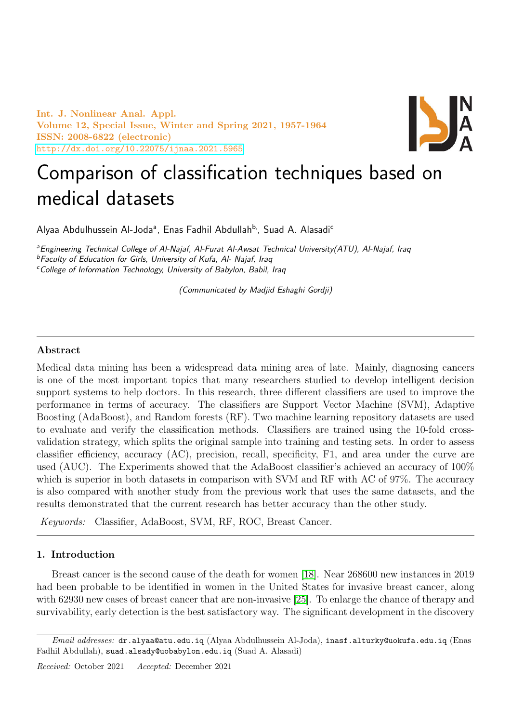Int. J. Nonlinear Anal. Appl. Volume 12, Special Issue, Winter and Spring 2021, 1957-1964 ISSN: 2008-6822 (electronic) <http://dx.doi.org/10.22075/ijnaa.2021.5965>



# Comparison of classification techniques based on medical datasets

Alyaa Abdulhussein Al-Joda<sup>a</sup>, Enas Fadhil Abdullah<sup>b,</sup>, Suad A. Alasadi<sup>c</sup>

<sup>a</sup> Engineering Technical College of Al-Najaf, Al-Furat Al-Awsat Technical University(ATU), Al-Najaf, Iraq <sup>b</sup>Faculty of Education for Girls, University of Kufa, Al- Najaf, Iraq

<sup>c</sup>College of Information Technology, University of Babylon, Babil, Iraq

(Communicated by Madjid Eshaghi Gordji)

## Abstract

Medical data mining has been a widespread data mining area of late. Mainly, diagnosing cancers is one of the most important topics that many researchers studied to develop intelligent decision support systems to help doctors. In this research, three different classifiers are used to improve the performance in terms of accuracy. The classifiers are Support Vector Machine (SVM), Adaptive Boosting (AdaBoost), and Random forests (RF). Two machine learning repository datasets are used to evaluate and verify the classification methods. Classifiers are trained using the 10-fold crossvalidation strategy, which splits the original sample into training and testing sets. In order to assess classifier efficiency, accuracy (AC), precision, recall, specificity, F1, and area under the curve are used (AUC). The Experiments showed that the AdaBoost classifier's achieved an accuracy of 100% which is superior in both datasets in comparison with SVM and RF with AC of 97%. The accuracy is also compared with another study from the previous work that uses the same datasets, and the results demonstrated that the current research has better accuracy than the other study.

Keywords: Classifier, AdaBoost, SVM, RF, ROC, Breast Cancer.

## 1. Introduction

Breast cancer is the second cause of the death for women [\[18\]](#page-7-0). Near 268600 new instances in 2019 had been probable to be identified in women in the United States for invasive breast cancer, along with 62930 new cases of breast cancer that are non-invasive [\[25\]](#page-7-1). To enlarge the chance of therapy and survivability, early detection is the best satisfactory way. The significant development in the discovery

Email addresses: dr.alyaa@atu.edu.iq (Alyaa Abdulhussein Al-Joda), inasf.alturky@uokufa.edu.iq (Enas Fadhil Abdullah), suad.alsady@uobabylon.edu.iq (Suad A. Alasadi)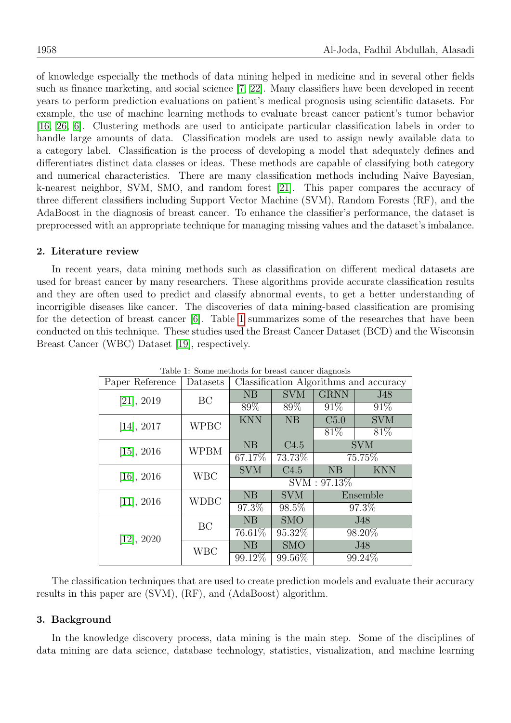of knowledge especially the methods of data mining helped in medicine and in several other fields such as finance marketing, and social science [\[7,](#page-6-0) [22\]](#page-7-2). Many classifiers have been developed in recent years to perform prediction evaluations on patient's medical prognosis using scientific datasets. For example, the use of machine learning methods to evaluate breast cancer patient's tumor behavior [\[16,](#page-6-1) [26,](#page-7-3) [6\]](#page-6-2). Clustering methods are used to anticipate particular classification labels in order to handle large amounts of data. Classification models are used to assign newly available data to a category label. Classification is the process of developing a model that adequately defines and differentiates distinct data classes or ideas. These methods are capable of classifying both category and numerical characteristics. There are many classification methods including Naive Bayesian, k-nearest neighbor, SVM, SMO, and random forest [\[21\]](#page-7-4). This paper compares the accuracy of three different classifiers including Support Vector Machine (SVM), Random Forests (RF), and the AdaBoost in the diagnosis of breast cancer. To enhance the classifier's performance, the dataset is preprocessed with an appropriate technique for managing missing values and the dataset's imbalance.

# 2. Literature review

In recent years, data mining methods such as classification on different medical datasets are used for breast cancer by many researchers. These algorithms provide accurate classification results and they are often used to predict and classify abnormal events, to get a better understanding of incorrigible diseases like cancer. The discoveries of data mining-based classification are promising for the detection of breast cancer [\[6\]](#page-6-2). Table [1](#page-1-0) summarizes some of the researches that have been conducted on this technique. These studies used the Breast Cancer Dataset (BCD) and the Wisconsin Breast Cancer (WBC) Dataset [\[19\]](#page-7-5), respectively.

<span id="page-1-0"></span>

| Table 1: Some methods for breast cancer diagnosis |             |                                        |            |             |            |  |
|---------------------------------------------------|-------------|----------------------------------------|------------|-------------|------------|--|
| Paper Reference                                   | Datasets    | Classification Algorithms and accuracy |            |             |            |  |
| [21], 2019                                        | BC          | NB                                     | <b>SVM</b> | <b>GRNN</b> | J48        |  |
|                                                   |             | 89%                                    | 89%        | 91\%        | 91\%       |  |
| [14], 2017                                        | <b>WPBC</b> | <b>KNN</b>                             | NB         | C5.0        | <b>SVM</b> |  |
|                                                   |             |                                        |            | 81\%        | 81\%       |  |
| $[15]$ , 2016                                     | <b>WPBM</b> | NB                                     | C4.5       | <b>SVM</b>  |            |  |
|                                                   |             | 67.17%                                 | 73.73%     | 75.75%      |            |  |
| $[16]$ , 2016                                     | <b>WBC</b>  | <b>SVM</b>                             | C4.5       | NB          | <b>KNN</b> |  |
|                                                   |             | $\overline{\mathrm{SVM}}: 97.13\%$     |            |             |            |  |
| $[11]$ , 2016                                     | <b>WDBC</b> | NB                                     | <b>SVM</b> |             | Ensemble   |  |
|                                                   |             | 97.3%                                  | 98.5%      |             | 97.3%      |  |
| $[12]$ , 2020                                     | <b>BC</b>   | NB                                     | <b>SMO</b> | J48         |            |  |
|                                                   |             | 76.61\%                                | 95.32\%    |             | 98.20%     |  |
|                                                   | <b>WBC</b>  | NB                                     | <b>SMO</b> |             | J48        |  |
|                                                   |             | 99.12%                                 | 99.56%     |             | 99.24%     |  |

Table 1: Some methods for breast cancer diagnosis

The classification techniques that are used to create prediction models and evaluate their accuracy results in this paper are (SVM), (RF), and (AdaBoost) algorithm.

## 3. Background

In the knowledge discovery process, data mining is the main step. Some of the disciplines of data mining are data science, database technology, statistics, visualization, and machine learning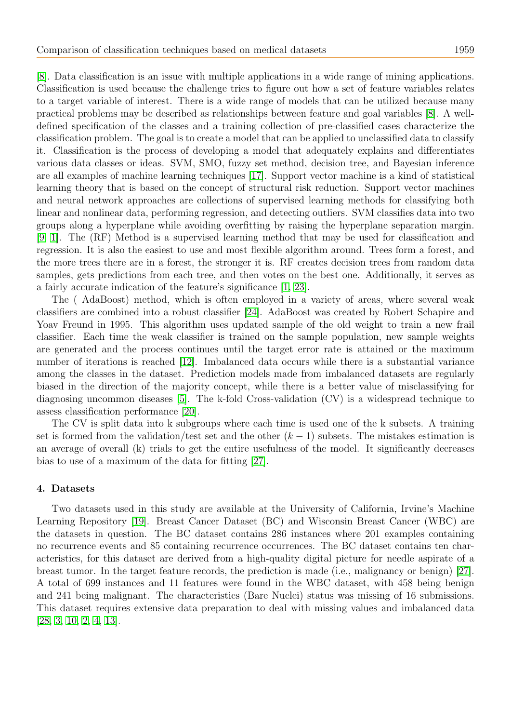[\[8\]](#page-6-7). Data classification is an issue with multiple applications in a wide range of mining applications. Classification is used because the challenge tries to figure out how a set of feature variables relates to a target variable of interest. There is a wide range of models that can be utilized because many practical problems may be described as relationships between feature and goal variables [\[8\]](#page-6-7). A welldefined specification of the classes and a training collection of pre-classified cases characterize the classification problem. The goal is to create a model that can be applied to unclassified data to classify it. Classification is the process of developing a model that adequately explains and differentiates various data classes or ideas. SVM, SMO, fuzzy set method, decision tree, and Bayesian inference are all examples of machine learning techniques [\[17\]](#page-6-8). Support vector machine is a kind of statistical learning theory that is based on the concept of structural risk reduction. Support vector machines and neural network approaches are collections of supervised learning methods for classifying both linear and nonlinear data, performing regression, and detecting outliers. SVM classifies data into two groups along a hyperplane while avoiding overfitting by raising the hyperplane separation margin. [\[9,](#page-6-9) [1\]](#page-6-10). The (RF) Method is a supervised learning method that may be used for classification and regression. It is also the easiest to use and most flexible algorithm around. Trees form a forest, and the more trees there are in a forest, the stronger it is. RF creates decision trees from random data samples, gets predictions from each tree, and then votes on the best one. Additionally, it serves as a fairly accurate indication of the feature's significance [\[1,](#page-6-10) [23\]](#page-7-6).

The ( AdaBoost) method, which is often employed in a variety of areas, where several weak classifiers are combined into a robust classifier [\[24\]](#page-7-7). AdaBoost was created by Robert Schapire and Yoav Freund in 1995. This algorithm uses updated sample of the old weight to train a new frail classifier. Each time the weak classifier is trained on the sample population, new sample weights are generated and the process continues until the target error rate is attained or the maximum number of iterations is reached [\[12\]](#page-6-6). Imbalanced data occurs while there is a substantial variance among the classes in the dataset. Prediction models made from imbalanced datasets are regularly biased in the direction of the majority concept, while there is a better value of misclassifying for diagnosing uncommon diseases [\[5\]](#page-6-11). The k-fold Cross-validation (CV) is a widespread technique to assess classification performance [\[20\]](#page-7-8).

The CV is split data into k subgroups where each time is used one of the k subsets. A training set is formed from the validation/test set and the other  $(k-1)$  subsets. The mistakes estimation is an average of overall (k) trials to get the entire usefulness of the model. It significantly decreases bias to use of a maximum of the data for fitting [\[27\]](#page-7-9).

## 4. Datasets

Two datasets used in this study are available at the University of California, Irvine's Machine Learning Repository [\[19\]](#page-7-5). Breast Cancer Dataset (BC) and Wisconsin Breast Cancer (WBC) are the datasets in question. The BC dataset contains 286 instances where 201 examples containing no recurrence events and 85 containing recurrence occurrences. The BC dataset contains ten characteristics, for this dataset are derived from a high-quality digital picture for needle aspirate of a breast tumor. In the target feature records, the prediction is made (i.e., malignancy or benign) [\[27\]](#page-7-9). A total of 699 instances and 11 features were found in the WBC dataset, with 458 being benign and 241 being malignant. The characteristics (Bare Nuclei) status was missing of 16 submissions. This dataset requires extensive data preparation to deal with missing values and imbalanced data [\[28,](#page-7-10) [3,](#page-6-12) [10,](#page-6-13) [2,](#page-6-14) [4,](#page-6-15) [13\]](#page-6-16).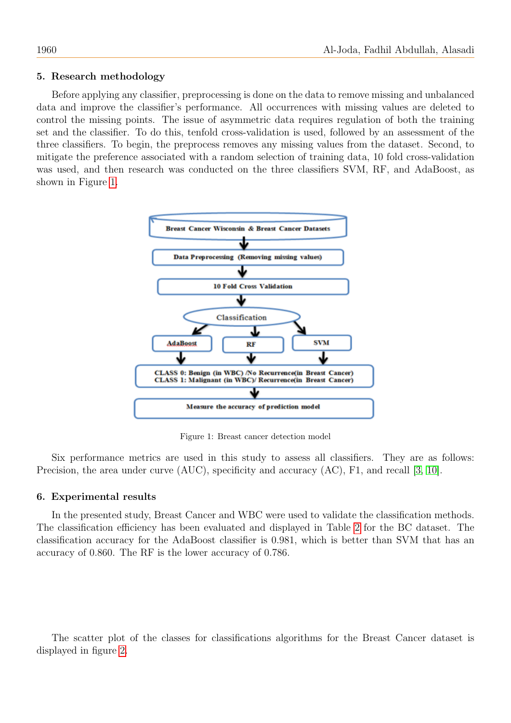## 5. Research methodology

Before applying any classifier, preprocessing is done on the data to remove missing and unbalanced data and improve the classifier's performance. All occurrences with missing values are deleted to control the missing points. The issue of asymmetric data requires regulation of both the training set and the classifier. To do this, tenfold cross-validation is used, followed by an assessment of the three classifiers. To begin, the preprocess removes any missing values from the dataset. Second, to mitigate the preference associated with a random selection of training data, 10 fold cross-validation was used, and then research was conducted on the three classifiers SVM, RF, and AdaBoost, as shown in Figure [1.](#page-3-0)



<span id="page-3-0"></span>Figure 1: Breast cancer detection model

Six performance metrics are used in this study to assess all classifiers. They are as follows: Precision, the area under curve (AUC), specificity and accuracy (AC), F1, and recall [\[3,](#page-6-12) [10\]](#page-6-13).

## 6. Experimental results

In the presented study, Breast Cancer and WBC were used to validate the classification methods. The classification efficiency has been evaluated and displayed in Table [2](#page-4-0) for the BC dataset. The classification accuracy for the AdaBoost classifier is 0.981, which is better than SVM that has an accuracy of 0.860. The RF is the lower accuracy of 0.786.

The scatter plot of the classes for classifications algorithms for the Breast Cancer dataset is displayed in figure [2.](#page-4-1)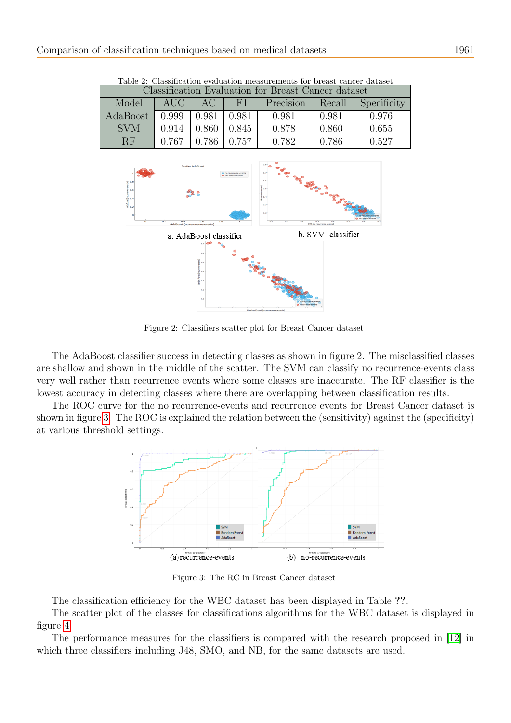<span id="page-4-0"></span>

| Classification Evaluation for Breast Cancer dataset |       |       |                |           |        |             |
|-----------------------------------------------------|-------|-------|----------------|-----------|--------|-------------|
| Model                                               | AUC – | AC    | H <sup>1</sup> | Precision | Recall | Specificity |
| AdaBoost                                            | 0.999 | 0.981 | 0.981          | 0.981     | 0.981  | 0.976       |
| <b>SVM</b>                                          | 0.914 | 0.860 | 0.845          | 0.878     | 0.860  | 0.655       |
| RF                                                  | 0.767 | 0.786 | 0.757          | 0.782     | 0.786  | 0.527       |

Table 2: Classification evaluation measurements for breast cancer dataset



<span id="page-4-1"></span>Figure 2: Classifiers scatter plot for Breast Cancer dataset

The AdaBoost classifier success in detecting classes as shown in figure [2.](#page-4-1) The misclassified classes are shallow and shown in the middle of the scatter. The SVM can classify no recurrence-events class very well rather than recurrence events where some classes are inaccurate. The RF classifier is the lowest accuracy in detecting classes where there are overlapping between classification results.

The ROC curve for the no recurrence-events and recurrence events for Breast Cancer dataset is shown in figure [3.](#page-4-2) The ROC is explained the relation between the (sensitivity) against the (specificity) at various threshold settings.



<span id="page-4-2"></span>Figure 3: The RC in Breast Cancer dataset

The classification efficiency for the WBC dataset has been displayed in Table ??.

The scatter plot of the classes for classifications algorithms for the WBC dataset is displayed in figure [4.](#page-5-0)

The performance measures for the classifiers is compared with the research proposed in [\[12\]](#page-6-6) in which three classifiers including J48, SMO, and NB, for the same datasets are used.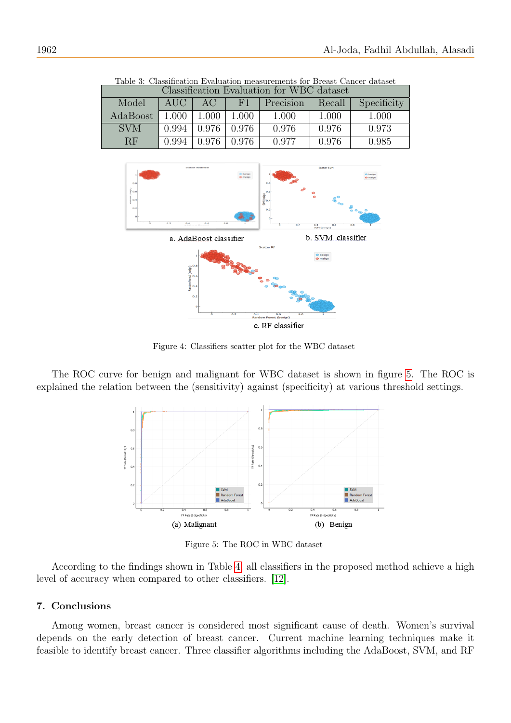| Classification Evaluation for WBC dataset |       |       |       |           |        |             |
|-------------------------------------------|-------|-------|-------|-----------|--------|-------------|
| Model                                     | AUC 1 | A C   | F1    | Precision | Recall | Specificity |
| AdaBoost                                  | 1.000 | 1.000 | 1.000 | 1.000     | 1.000  | 1.000       |
| <b>SVM</b>                                | 0.994 | 0.976 | 0.976 | 0.976     | 0.976  | 0.973       |
| RF                                        | 0.994 | 0.976 | 0.976 | 0.977     | 0.976  | 0.985       |

Table 3: Classification Evaluation measurements for Breast Cancer dataset



<span id="page-5-0"></span>Figure 4: Classifiers scatter plot for the WBC dataset

The ROC curve for benign and malignant for WBC dataset is shown in figure [5.](#page-5-1) The ROC is explained the relation between the (sensitivity) against (specificity) at various threshold settings.



<span id="page-5-1"></span>Figure 5: The ROC in WBC dataset

According to the findings shown in Table [4,](#page-6-17) all classifiers in the proposed method achieve a high level of accuracy when compared to other classifiers. [\[12\]](#page-6-6).

# 7. Conclusions

Among women, breast cancer is considered most significant cause of death. Women's survival depends on the early detection of breast cancer. Current machine learning techniques make it feasible to identify breast cancer. Three classifier algorithms including the AdaBoost, SVM, and RF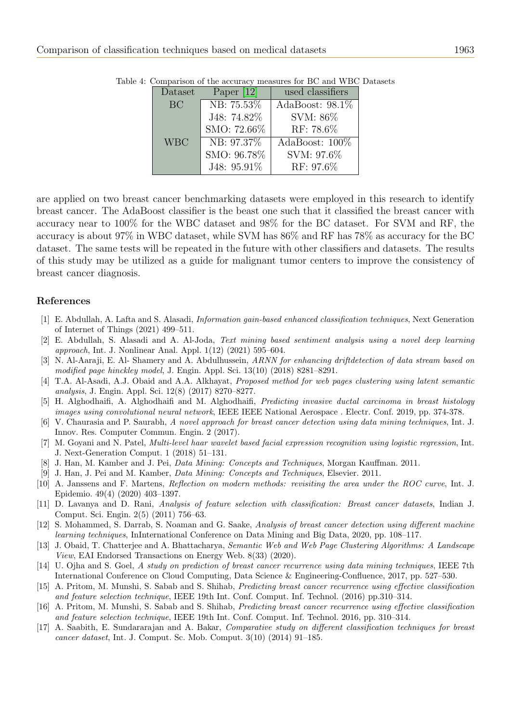| Dataset    | Paper $[12]$ | used classifiers   |
|------------|--------------|--------------------|
| <b>BC</b>  | NB: 75.53%   | AdaBoost: $98.1\%$ |
|            | J48: 74.82%  | SVM: 86\%          |
|            | SMO: 72.66%  | RF: 78.6%          |
| <b>WBC</b> | NB: 97.37\%  | AdaBoost: 100\%    |
|            | SMO: 96.78%  | SVM: 97.6%         |
|            | J48: 95.91%  | RF: 97.6%          |

<span id="page-6-17"></span>Table 4: Comparison of the accuracy measures for BC and WBC Datasets

are applied on two breast cancer benchmarking datasets were employed in this research to identify breast cancer. The AdaBoost classifier is the beast one such that it classified the breast cancer with accuracy near to 100% for the WBC dataset and 98% for the BC dataset. For SVM and RF, the accuracy is about 97% in WBC dataset, while SVM has 86% and RF has 78% as accuracy for the BC dataset. The same tests will be repeated in the future with other classifiers and datasets. The results of this study may be utilized as a guide for malignant tumor centers to improve the consistency of breast cancer diagnosis.

## References

- <span id="page-6-10"></span>[1] E. Abdullah, A. Lafta and S. Alasadi, Information gain-based enhanced classification techniques, Next Generation of Internet of Things (2021) 499–511.
- <span id="page-6-14"></span>[2] E. Abdullah, S. Alasadi and A. Al-Joda, Text mining based sentiment analysis using a novel deep learning approach, Int. J. Nonlinear Anal. Appl. 1(12) (2021) 595–604.
- <span id="page-6-12"></span>[3] N. Al-Aaraji, E. Al- Shamery and A. Abdulhussein, ARNN for enhancing driftdetection of data stream based on modified page hinckley model, J. Engin. Appl. Sci. 13(10) (2018) 8281–8291.
- <span id="page-6-15"></span>[4] T.A. Al-Asadi, A.J. Obaid and A.A. Alkhayat, Proposed method for web pages clustering using latent semantic analysis, J. Engin. Appl. Sci. 12(8) (2017) 8270–8277.
- <span id="page-6-11"></span>[5] H. Alghodhaifi, A. Alghodhaifi and M. Alghodhaifi, Predicting invasive ductal carcinoma in breast histology images using convolutional neural network, IEEE IEEE National Aerospace . Electr. Conf. 2019, pp. 374-378.
- <span id="page-6-2"></span>[6] V. Chaurasia and P. Saurabh, A novel approach for breast cancer detection using data mining techniques, Int. J. Innov. Res. Computer Commun. Engin. 2 (2017).
- <span id="page-6-0"></span>[7] M. Goyani and N. Patel, Multi-level haar wavelet based facial expression recognition using logistic regression, Int. J. Next-Generation Comput. 1 (2018) 51–131.
- <span id="page-6-7"></span>[8] J. Han, M. Kamber and J. Pei, Data Mining: Concepts and Techniques, Morgan Kauffman. 2011.
- <span id="page-6-9"></span>[9] J. Han, J. Pei and M. Kamber, Data Mining: Concepts and Techniques, Elsevier. 2011.
- <span id="page-6-13"></span>[10] A. Janssens and F. Martens, Reflection on modern methods: revisiting the area under the ROC curve, Int. J. Epidemio. 49(4) (2020) 403–1397.
- <span id="page-6-5"></span>[11] D. Lavanya and D. Rani, Analysis of feature selection with classification: Breast cancer datasets, Indian J. Comput. Sci. Engin. 2(5) (2011) 756–63.
- <span id="page-6-6"></span>[12] S. Mohammed, S. Darrab, S. Noaman and G. Saake, Analysis of breast cancer detection using different machine learning techniques, InInternational Conference on Data Mining and Big Data, 2020, pp. 108–117.
- <span id="page-6-16"></span>[13] J. Obaid, T. Chatterjee and A. Bhattacharya, Semantic Web and Web Page Clustering Algorithms: A Landscape View, EAI Endorsed Transactions on Energy Web. 8(33) (2020).
- <span id="page-6-3"></span>[14] U. Ojha and S. Goel, A study on prediction of breast cancer recurrence using data mining techniques, IEEE 7th International Conference on Cloud Computing, Data Science & Engineering-Confluence, 2017, pp. 527–530.
- <span id="page-6-4"></span>[15] A. Pritom, M. Munshi, S. Sabab and S. Shihab, Predicting breast cancer recurrence using effective classification and feature selection technique, IEEE 19th Int. Conf. Comput. Inf. Technol. (2016) pp.310–314.
- <span id="page-6-1"></span>[16] A. Pritom, M. Munshi, S. Sabab and S. Shihab, Predicting breast cancer recurrence using effective classification and feature selection technique, IEEE 19th Int. Conf. Comput. Inf. Technol. 2016, pp. 310–314.
- <span id="page-6-8"></span>[17] A. Saabith, E. Sundararajan and A. Bakar, Comparative study on different classification techniques for breast cancer dataset, Int. J. Comput. Sc. Mob. Comput. 3(10) (2014) 91–185.